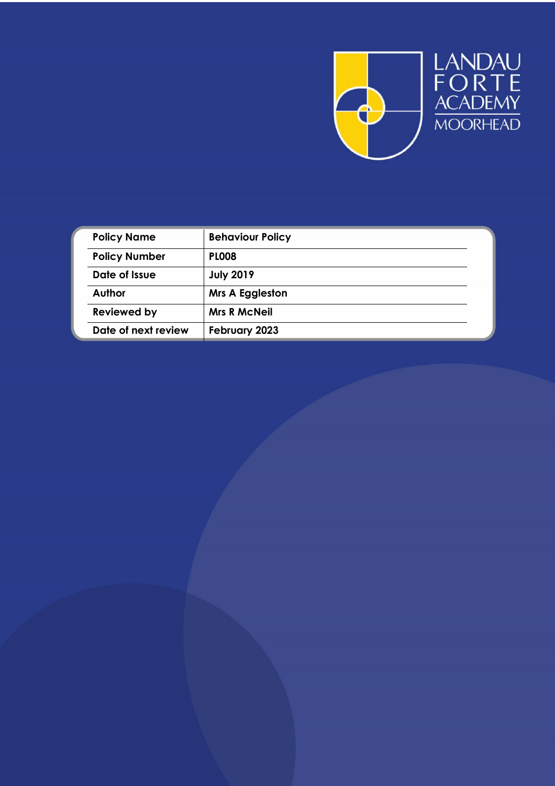

| <b>Policy Name</b>   | <b>Behaviour Policy</b> |
|----------------------|-------------------------|
| <b>Policy Number</b> | <b>PLO08</b>            |
| Date of Issue        | <b>July 2019</b>        |
| Author               | <b>Mrs A Eggleston</b>  |
| <b>Reviewed by</b>   | <b>Mrs R McNeil</b>     |
| Date of next review  | February 2023           |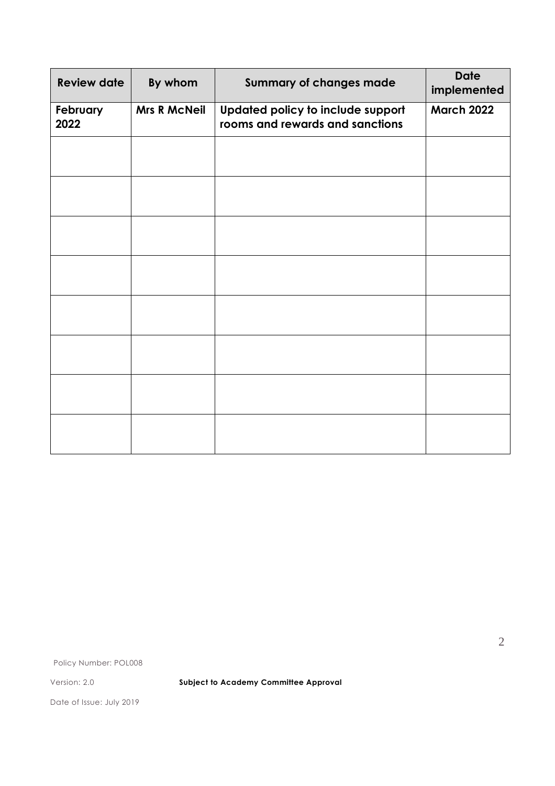| <b>Review date</b> | By whom             | <b>Summary of changes made</b>                                       | <b>Date</b><br>implemented |
|--------------------|---------------------|----------------------------------------------------------------------|----------------------------|
| February<br>2022   | <b>Mrs R McNeil</b> | Updated policy to include support<br>rooms and rewards and sanctions | <b>March 2022</b>          |
|                    |                     |                                                                      |                            |
|                    |                     |                                                                      |                            |
|                    |                     |                                                                      |                            |
|                    |                     |                                                                      |                            |
|                    |                     |                                                                      |                            |
|                    |                     |                                                                      |                            |
|                    |                     |                                                                      |                            |
|                    |                     |                                                                      |                            |

Policy Number: POL008

Version: 2.0 **Subject to Academy Committee Approval**

Date of Issue: July 2019

2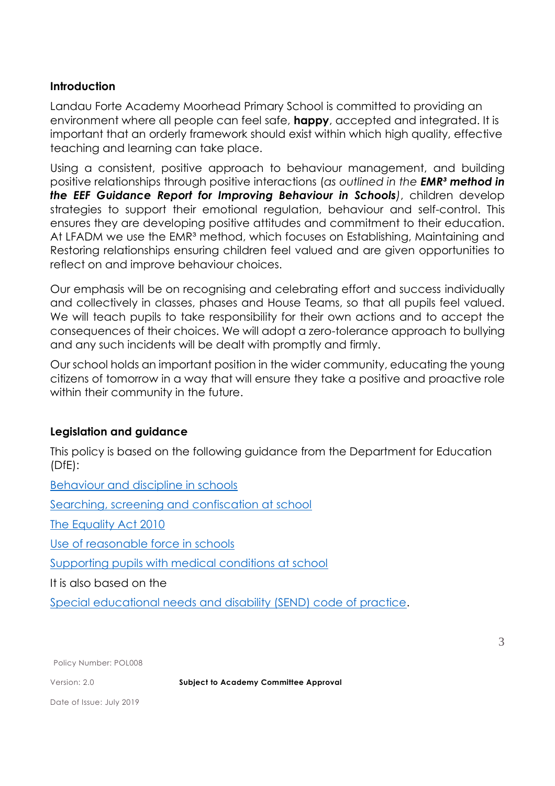## **Introduction**

Landau Forte Academy Moorhead Primary School is committed to providing an environment where all people can feel safe, **happy**, accepted and integrated. It is important that an orderly framework should exist within which high quality, effective teaching and learning can take place.

Using a consistent, positive approach to behaviour management, and building positive relationships through positive interactions (*as outlined in the EMR³ method in the EEF Guidance Report for Improving Behaviour in Schools)*, children develop strategies to support their emotional regulation, behaviour and self-control. This ensures they are developing positive attitudes and commitment to their education. At LFADM we use the EMR<sup>3</sup> method, which focuses on Establishing, Maintaining and Restoring relationships ensuring children feel valued and are given opportunities to reflect on and improve behaviour choices.

Our emphasis will be on recognising and celebrating effort and success individually and collectively in classes, phases and House Teams, so that all pupils feel valued. We will teach pupils to take responsibility for their own actions and to accept the consequences of their choices. We will adopt a zero-tolerance approach to bullying and any such incidents will be dealt with promptly and firmly.

Our school holds an important position in the wider community, educating the young citizens of tomorrow in a way that will ensure they take a positive and proactive role within their community in the future.

#### **Legislation and guidance**

This policy is based on the following guidance from the Department for Education (DfE):

[Behaviour and discipline in schools](https://www.gov.uk/government/publications/behaviour-and-discipline-in-schools) [Searching, screening and confiscation at school](https://www.gov.uk/government/publications/searching-screening-and-confiscation) [The Equality Act 2010](https://www.gov.uk/government/publications/equality-act-2010-advice-for-schools) [Use of reasonable force in schools](https://www.gov.uk/government/publications/use-of-reasonable-force-in-schools) [Supporting pupils with medical conditions at school](https://www.gov.uk/government/publications/supporting-pupils-at-school-with-medical-conditions--3) It is also based on the [Special educational needs and disability \(SEND\) code of practice.](https://www.gov.uk/government/publications/send-code-of-practice-0-to-25)

Policy Number: POL008

Version: 2.0 **Subject to Academy Committee Approval**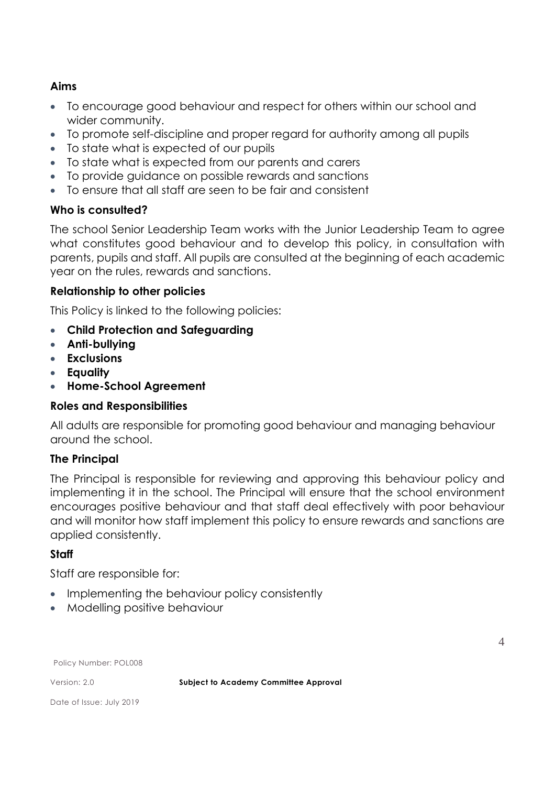# **Aims**

- To encourage good behaviour and respect for others within our school and wider community.
- To promote self-discipline and proper regard for authority among all pupils
- To state what is expected of our pupils
- To state what is expected from our parents and carers
- To provide guidance on possible rewards and sanctions
- To ensure that all staff are seen to be fair and consistent

# **Who is consulted?**

The school Senior Leadership Team works with the Junior Leadership Team to agree what constitutes good behaviour and to develop this policy, in consultation with parents, pupils and staff. All pupils are consulted at the beginning of each academic year on the rules, rewards and sanctions.

## **Relationship to other policies**

This Policy is linked to the following policies:

- **Child Protection and Safeguarding**
- **Anti-bullying**
- **Exclusions**
- **Equality**
- **Home-School Agreement**

## **Roles and Responsibilities**

All adults are responsible for promoting good behaviour and managing behaviour around the school.

## **The Principal**

The Principal is responsible for reviewing and approving this behaviour policy and implementing it in the school. The Principal will ensure that the school environment encourages positive behaviour and that staff deal effectively with poor behaviour and will monitor how staff implement this policy to ensure rewards and sanctions are applied consistently.

# **Staff**

Staff are responsible for:

- Implementing the behaviour policy consistently
- Modelling positive behaviour

Policy Number: POL008

Version: 2.0 **Subject to Academy Committee Approval**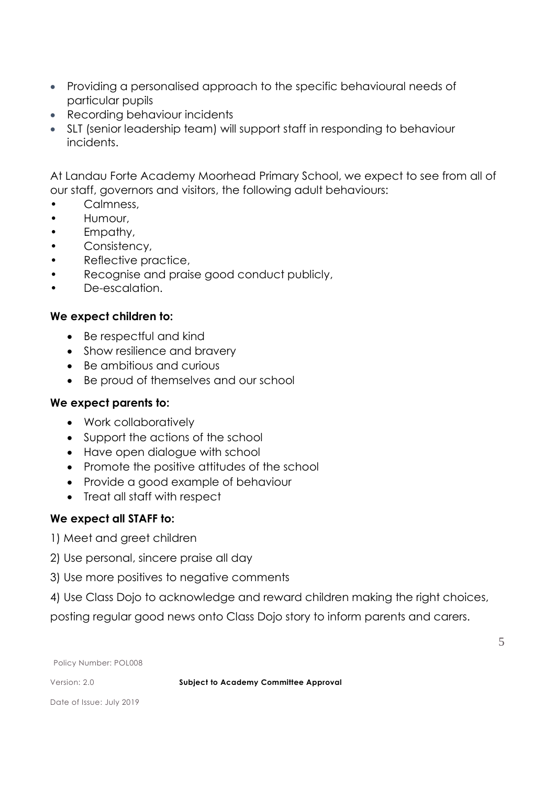- Providing a personalised approach to the specific behavioural needs of particular pupils
- Recording behaviour incidents
- SLT (senior leadership team) will support staff in responding to behaviour incidents.

At Landau Forte Academy Moorhead Primary School, we expect to see from all of our staff, governors and visitors, the following adult behaviours:

- Calmness,
- Humour,
- Empathy,
- Consistency,
- Reflective practice,
- Recognise and praise good conduct publicly,
- De-escalation.

## **We expect children to:**

- Be respectful and kind
- Show resilience and bravery
- Be ambitious and curious
- Be proud of themselves and our school

## **We expect parents to:**

- Work collaboratively
- Support the actions of the school
- Have open dialogue with school
- Promote the positive attitudes of the school
- Provide a good example of behaviour
- Treat all staff with respect

# **We expect all STAFF to:**

- 1) Meet and greet children
- 2) Use personal, sincere praise all day
- 3) Use more positives to negative comments
- 4) Use Class Dojo to acknowledge and reward children making the right choices,

posting regular good news onto Class Dojo story to inform parents and carers.

Policy Number: POL008

Version: 2.0 **Subject to Academy Committee Approval**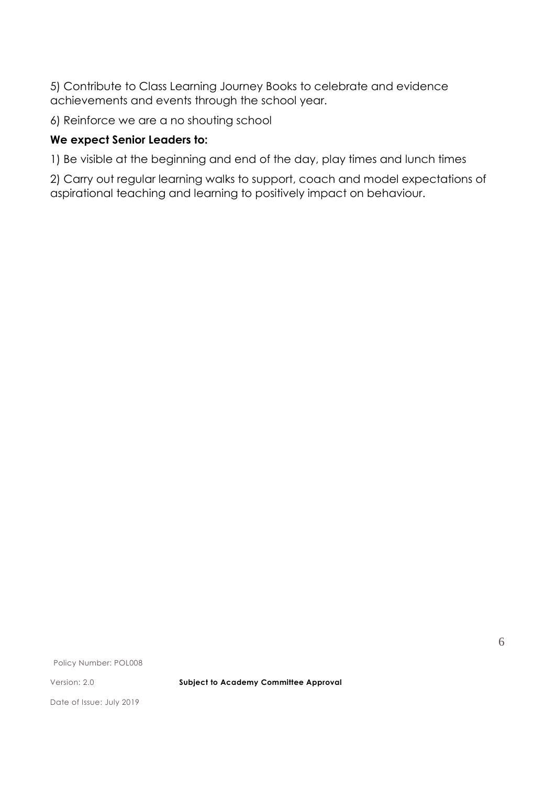5) Contribute to Class Learning Journey Books to celebrate and evidence achievements and events through the school year.

6) Reinforce we are a no shouting school

# **We expect Senior Leaders to:**

1) Be visible at the beginning and end of the day, play times and lunch times

2) Carry out regular learning walks to support, coach and model expectations of aspirational teaching and learning to positively impact on behaviour.

Policy Number: POL008

Version: 2.0 **Subject to Academy Committee Approval**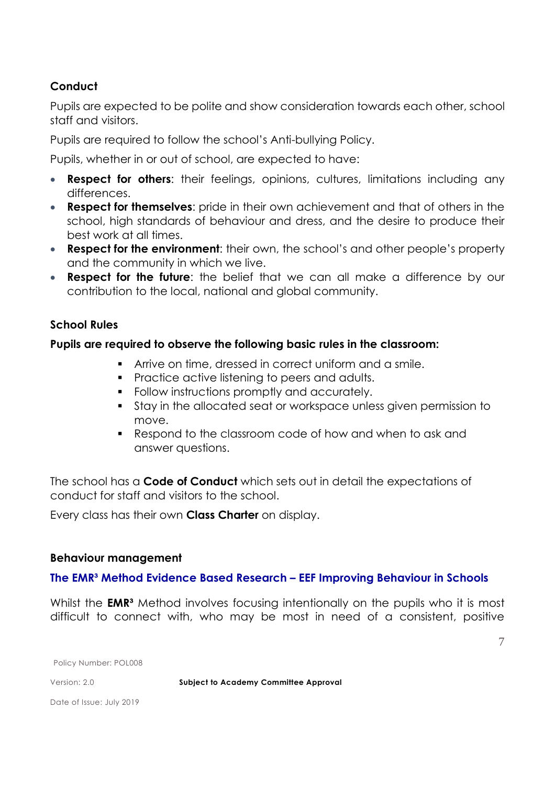# **Conduct**

Pupils are expected to be polite and show consideration towards each other, school staff and visitors.

Pupils are required to follow the school's Anti-bullying Policy.

Pupils, whether in or out of school, are expected to have:

- **Respect for others:** their feelings, opinions, cultures, limitations including any differences.
- **Respect for themselves**: pride in their own achievement and that of others in the school, high standards of behaviour and dress, and the desire to produce their best work at all times.
- **Respect for the environment**: their own, the school's and other people's property and the community in which we live.
- **Respect for the future**: the belief that we can all make a difference by our contribution to the local, national and global community.

## **School Rules**

## **Pupils are required to observe the following basic rules in the classroom:**

- Arrive on time, dressed in correct uniform and a smile.
- **Practice active listening to peers and adults.**
- Follow instructions promptly and accurately.
- Stay in the allocated seat or workspace unless given permission to move.
- Respond to the classroom code of how and when to ask and answer questions.

The school has a **Code of Conduct** which sets out in detail the expectations of conduct for staff and visitors to the school.

Every class has their own **Class Charter** on display.

#### **Behaviour management**

## **The EMR³ Method Evidence Based Research – EEF Improving Behaviour in Schools**

Whilst the **EMR<sup>3</sup>** Method involves focusing intentionally on the pupils who it is most difficult to connect with, who may be most in need of a consistent, positive

Policy Number: POL008

Version: 2.0 **Subject to Academy Committee Approval**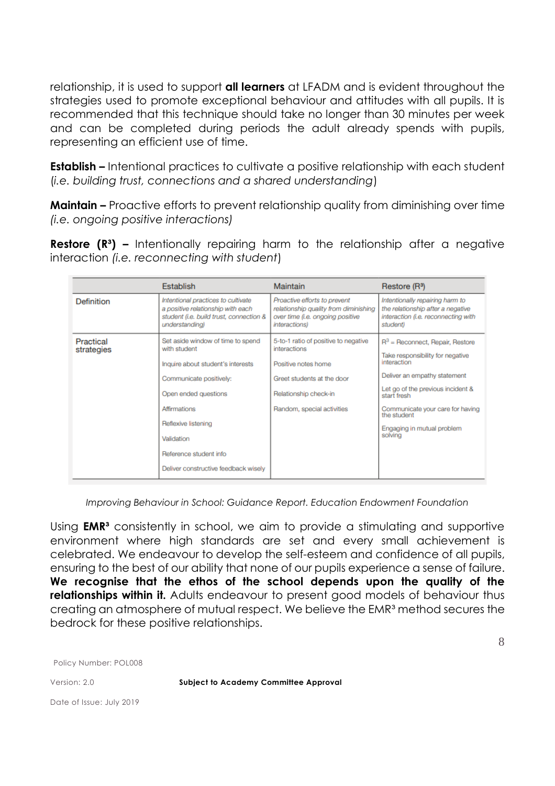relationship, it is used to support **all learners** at LFADM and is evident throughout the strategies used to promote exceptional behaviour and attitudes with all pupils. It is recommended that this technique should take no longer than 30 minutes per week and can be completed during periods the adult already spends with pupils, representing an efficient use of time.

**Establish –** Intentional practices to cultivate a positive relationship with each student (*i.e. building trust, connections and a shared understanding*)

**Maintain –** Proactive efforts to prevent relationship quality from diminishing over time *(i.e. ongoing positive interactions)*

**Restore (R<sup>3</sup>) –** Intentionally repairing harm to the relationship after a negative interaction *(i.e. reconnecting with student*)

|                         | <b>Establish</b>                                                                                                                                                                                                                                                 | <b>Maintain</b>                                                                                                                                                  | Restore (R <sup>3</sup> )                                                                                                                                                                                                                                             |
|-------------------------|------------------------------------------------------------------------------------------------------------------------------------------------------------------------------------------------------------------------------------------------------------------|------------------------------------------------------------------------------------------------------------------------------------------------------------------|-----------------------------------------------------------------------------------------------------------------------------------------------------------------------------------------------------------------------------------------------------------------------|
| Definition              | Intentional practices to cultivate<br>a positive relationship with each<br>student (i.e. build trust, connection &<br>understanding)                                                                                                                             | Proactive efforts to prevent<br>relationship quality from diminishing<br>over time (i.e. ongoing positive<br>interactions)                                       | Intentionally repairing harm to<br>the relationship after a negative<br>interaction (i.e. reconnecting with<br>student)                                                                                                                                               |
| Practical<br>strategies | Set aside window of time to spend<br>with student<br>Inquire about student's interests<br>Communicate positively:<br>Open ended questions<br>Affirmations<br>Reflexive listening<br>Validation<br>Reference student info<br>Deliver constructive feedback wisely | 5-to-1 ratio of positive to negative<br>interactions<br>Positive notes home<br>Greet students at the door<br>Relationship check-in<br>Random, special activities | $R^3$ = Reconnect, Repair, Restore<br>Take responsibility for negative<br>interaction<br>Deliver an empathy statement<br>Let go of the previous incident &<br>start fresh<br>Communicate your care for having<br>the student<br>Engaging in mutual problem<br>solving |

*Improving Behaviour in School: Guidance Report. Education Endowment Foundation*

Using **EMR³** consistently in school, we aim to provide a stimulating and supportive environment where high standards are set and every small achievement is celebrated. We endeavour to develop the self-esteem and confidence of all pupils, ensuring to the best of our ability that none of our pupils experience a sense of failure. **We recognise that the ethos of the school depends upon the quality of the relationships within it.** Adults endeavour to present good models of behaviour thus creating an atmosphere of mutual respect. We believe the EMR<sup>3</sup> method secures the bedrock for these positive relationships.

Policy Number: POL008

Version: 2.0 **Subject to Academy Committee Approval**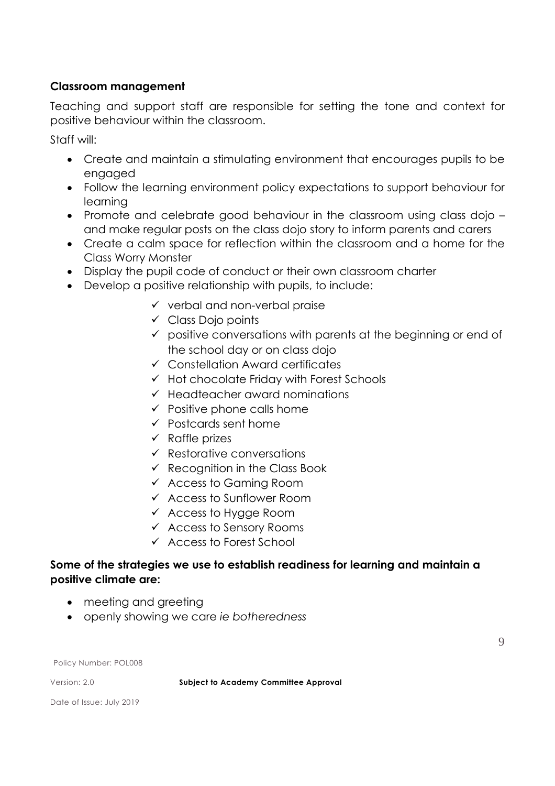## **Classroom management**

Teaching and support staff are responsible for setting the tone and context for positive behaviour within the classroom.

Staff will:

- Create and maintain a stimulating environment that encourages pupils to be engaged
- Follow the learning environment policy expectations to support behaviour for learning
- Promote and celebrate good behaviour in the classroom using class dojo and make regular posts on the class dojo story to inform parents and carers
- Create a calm space for reflection within the classroom and a home for the Class Worry Monster
- Display the pupil code of conduct or their own classroom charter
- Develop a positive relationship with pupils, to include:
	- $\checkmark$  verbal and non-verbal praise
	- $\checkmark$  Class Dojo points
	- $\checkmark$  positive conversations with parents at the beginning or end of the school day or on class dojo
	- $\checkmark$  Constellation Award certificates
	- $\checkmark$  Hot chocolate Friday with Forest Schools
	- $\checkmark$  Headteacher award nominations
	- $\checkmark$  Positive phone calls home
	- $\checkmark$  Postcards sent home
	- $\checkmark$  Raffle prizes
	- $\checkmark$  Restorative conversations
	- $\checkmark$  Recognition in the Class Book
	- $\checkmark$  Access to Gaming Room
	- $\checkmark$  Access to Sunflower Room
	- $\checkmark$  Access to Hygge Room
	- $\checkmark$  Access to Sensory Rooms
	- $\checkmark$  Access to Forest School

## **Some of the strategies we use to establish readiness for learning and maintain a positive climate are:**

- meeting and greeting
- openly showing we care *ie botheredness*

Policy Number: POL008

Version: 2.0 **Subject to Academy Committee Approval**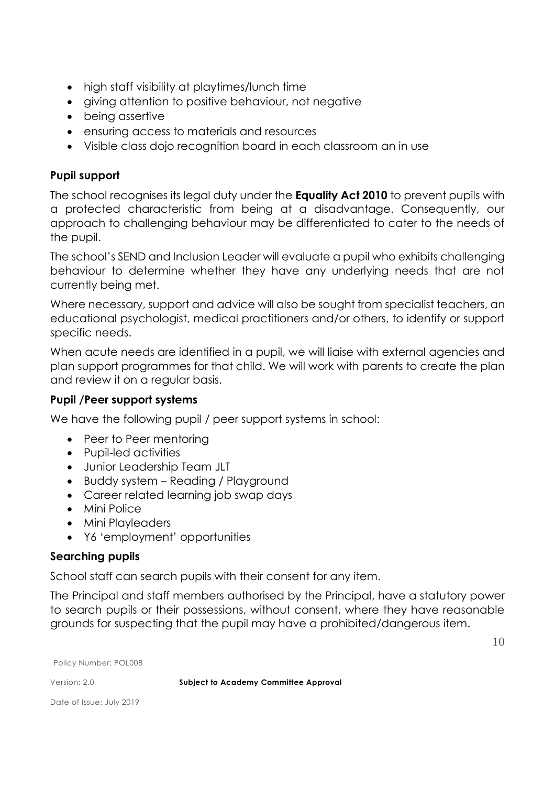- high staff visibility at playtimes/lunch time
- giving attention to positive behaviour, not negative
- being assertive
- ensuring access to materials and resources
- Visible class dojo recognition board in each classroom an in use

## **Pupil support**

The school recognises its legal duty under the **Equality Act 2010** to prevent pupils with a protected characteristic from being at a disadvantage. Consequently, our approach to challenging behaviour may be differentiated to cater to the needs of the pupil.

The school's SEND and Inclusion Leader will evaluate a pupil who exhibits challenging behaviour to determine whether they have any underlying needs that are not currently being met.

Where necessary, support and advice will also be sought from specialist teachers, an educational psychologist, medical practitioners and/or others, to identify or support specific needs.

When acute needs are identified in a pupil, we will liaise with external agencies and plan support programmes for that child. We will work with parents to create the plan and review it on a regular basis.

## **Pupil /Peer support systems**

We have the following pupil / peer support systems in school:

- Peer to Peer mentoring
- Pupil-led activities
- Junior Leadership Team JLT
- Buddy system Reading / Playground
- Career related learning job swap days
- Mini Police
- Mini Playleaders
- Y6 'employment' opportunities

#### **Searching pupils**

School staff can search pupils with their consent for any item.

The Principal and staff members authorised by the Principal, have a statutory power to search pupils or their possessions, without consent, where they have reasonable grounds for suspecting that the pupil may have a prohibited/dangerous item.

10

Policy Number: POL008

Version: 2.0 **Subject to Academy Committee Approval**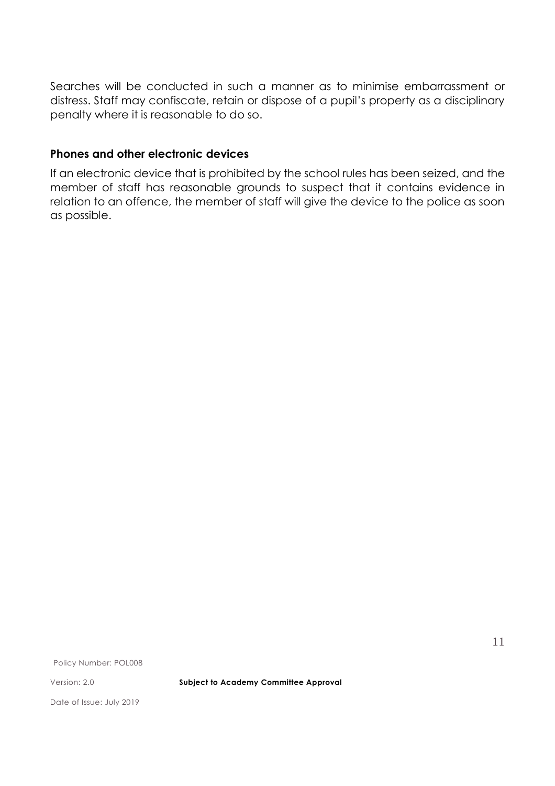Searches will be conducted in such a manner as to minimise embarrassment or distress. Staff may confiscate, retain or dispose of a pupil's property as a disciplinary penalty where it is reasonable to do so.

## **Phones and other electronic devices**

If an electronic device that is prohibited by the school rules has been seized, and the member of staff has reasonable grounds to suspect that it contains evidence in relation to an offence, the member of staff will give the device to the police as soon as possible.

Policy Number: POL008

Version: 2.0 **Subject to Academy Committee Approval**

Date of Issue: July 2019

11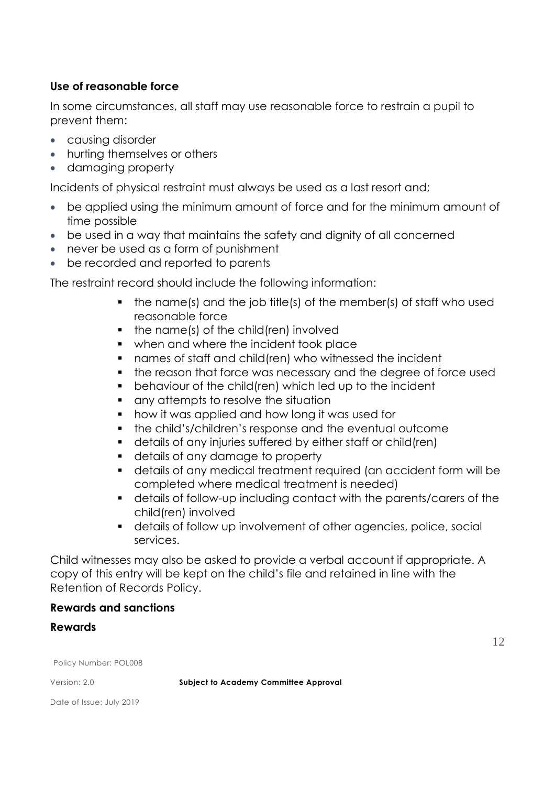## **Use of reasonable force**

In some circumstances, all staff may use reasonable force to restrain a pupil to prevent them:

- causing disorder
- hurting themselves or others
- damaging property

Incidents of physical restraint must always be used as a last resort and;

- be applied using the minimum amount of force and for the minimum amount of time possible
- be used in a way that maintains the safety and dignity of all concerned
- never be used as a form of punishment
- be recorded and reported to parents

The restraint record should include the following information:

- $\blacksquare$  the name(s) and the job title(s) of the member(s) of staff who used reasonable force
- $\blacksquare$  the name(s) of the child(ren) involved
- when and where the incident took place
- names of staff and child(ren) who witnessed the incident
- the reason that force was necessary and the degree of force used
- behaviour of the child(ren) which led up to the incident
- **quare any attempts to resolve the situation**
- **•** how it was applied and how long it was used for
- **the child's/children's response and the eventual outcome**
- details of any injuries suffered by either staff or child(ren)
- details of any damage to property
- details of any medical treatment required (an accident form will be completed where medical treatment is needed)
- details of follow-up including contact with the parents/carers of the child(ren) involved
- details of follow up involvement of other agencies, police, social services.

Child witnesses may also be asked to provide a verbal account if appropriate. A copy of this entry will be kept on the child's file and retained in line with the Retention of Records Policy.

## **Rewards and sanctions**

#### **Rewards**

12

Policy Number: POL008

Version: 2.0 **Subject to Academy Committee Approval**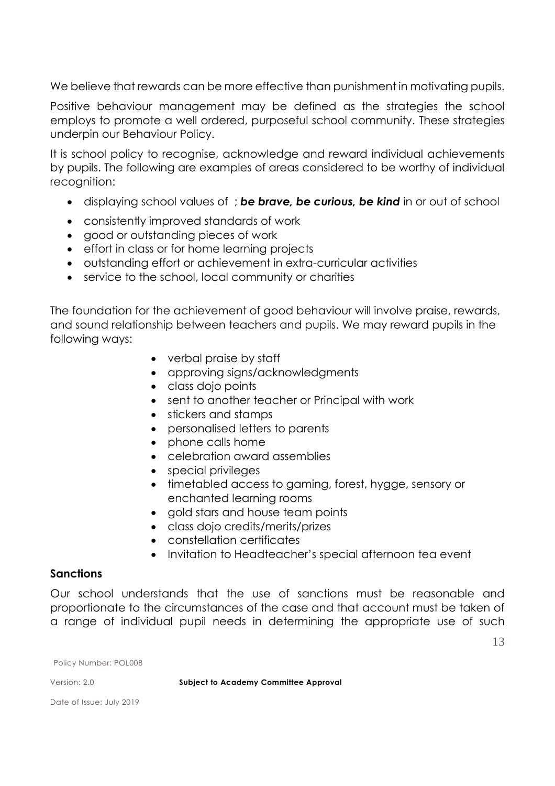We believe that rewards can be more effective than punishment in motivating pupils.

Positive behaviour management may be defined as the strategies the school employs to promote a well ordered, purposeful school community. These strategies underpin our Behaviour Policy.

It is school policy to recognise, acknowledge and reward individual achievements by pupils. The following are examples of areas considered to be worthy of individual recognition:

- displaying school values of ; *be brave, be curious, be kind* in or out of school
- consistently improved standards of work
- good or outstanding pieces of work
- effort in class or for home learning projects
- outstanding effort or achievement in extra-curricular activities
- service to the school, local community or charities

The foundation for the achievement of good behaviour will involve praise, rewards, and sound relationship between teachers and pupils. We may reward pupils in the following ways:

- verbal praise by staff
- approving signs/acknowledgments
- class dojo points
- sent to another teacher or Principal with work
- stickers and stamps
- personalised letters to parents
- phone calls home
- celebration award assemblies
- special privileges
- timetabled access to gaming, forest, hygge, sensory or enchanted learning rooms
- gold stars and house team points
- class dojo credits/merits/prizes
- constellation certificates
- Invitation to Headteacher's special afternoon tea event

#### **Sanctions**

Our school understands that the use of sanctions must be reasonable and proportionate to the circumstances of the case and that account must be taken of a range of individual pupil needs in determining the appropriate use of such

Policy Number: POL008

Version: 2.0 **Subject to Academy Committee Approval**

Date of Issue: July 2019

13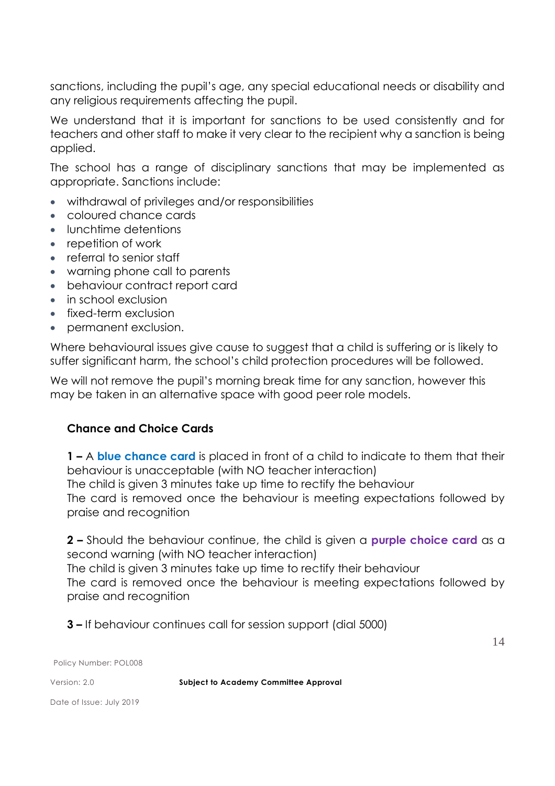sanctions, including the pupil's age, any special educational needs or disability and any religious requirements affecting the pupil.

We understand that it is important for sanctions to be used consistently and for teachers and other staff to make it very clear to the recipient why a sanction is being applied.

The school has a range of disciplinary sanctions that may be implemented as appropriate. Sanctions include:

- withdrawal of privileges and/or responsibilities
- coloured chance cards
- **•** lunchtime detentions
- repetition of work
- referral to senior staff
- warning phone call to parents
- behaviour contract report card
- in school exclusion
- fixed-term exclusion
- permanent exclusion.

Where behavioural issues give cause to suggest that a child is suffering or is likely to suffer significant harm, the school's child protection procedures will be followed.

We will not remove the pupil's morning break time for any sanction, however this may be taken in an alternative space with good peer role models.

# **Chance and Choice Cards**

**1 –** A **blue chance card** is placed in front of a child to indicate to them that their behaviour is unacceptable (with NO teacher interaction) The child is given 3 minutes take up time to rectify the behaviour The card is removed once the behaviour is meeting expectations followed by praise and recognition

**2 –** Should the behaviour continue, the child is given a **purple choice card** as a second warning (with NO teacher interaction)

The child is given 3 minutes take up time to rectify their behaviour

The card is removed once the behaviour is meeting expectations followed by praise and recognition

**3 –** If behaviour continues call for session support (dial 5000)

14

Policy Number: POL008

Version: 2.0 **Subject to Academy Committee Approval**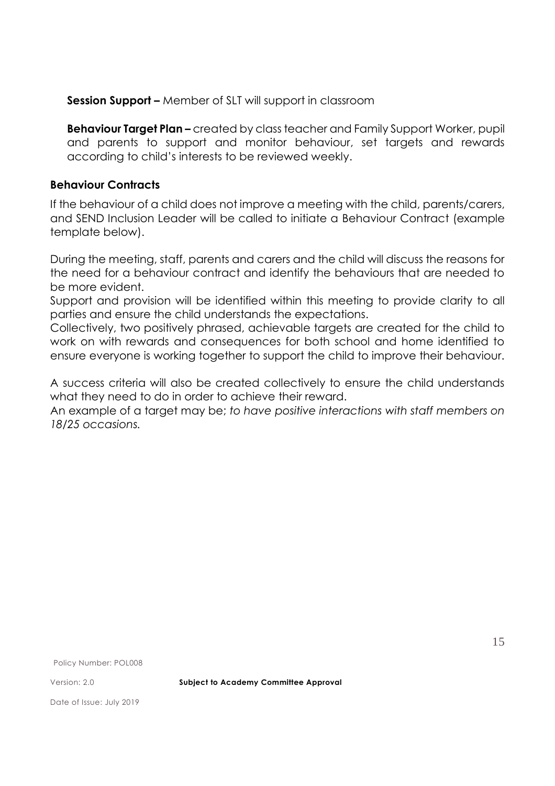**Session Support –** Member of SLT will support in classroom

**Behaviour Target Plan –** created by class teacher and Family Support Worker, pupil and parents to support and monitor behaviour, set targets and rewards according to child's interests to be reviewed weekly.

#### **Behaviour Contracts**

If the behaviour of a child does not improve a meeting with the child, parents/carers, and SEND Inclusion Leader will be called to initiate a Behaviour Contract (example template below).

During the meeting, staff, parents and carers and the child will discuss the reasons for the need for a behaviour contract and identify the behaviours that are needed to be more evident.

Support and provision will be identified within this meeting to provide clarity to all parties and ensure the child understands the expectations.

Collectively, two positively phrased, achievable targets are created for the child to work on with rewards and consequences for both school and home identified to ensure everyone is working together to support the child to improve their behaviour.

A success criteria will also be created collectively to ensure the child understands what they need to do in order to achieve their reward.

An example of a target may be; *to have positive interactions with staff members on 18/25 occasions.*

Policy Number: POL008

Version: 2.0 **Subject to Academy Committee Approval**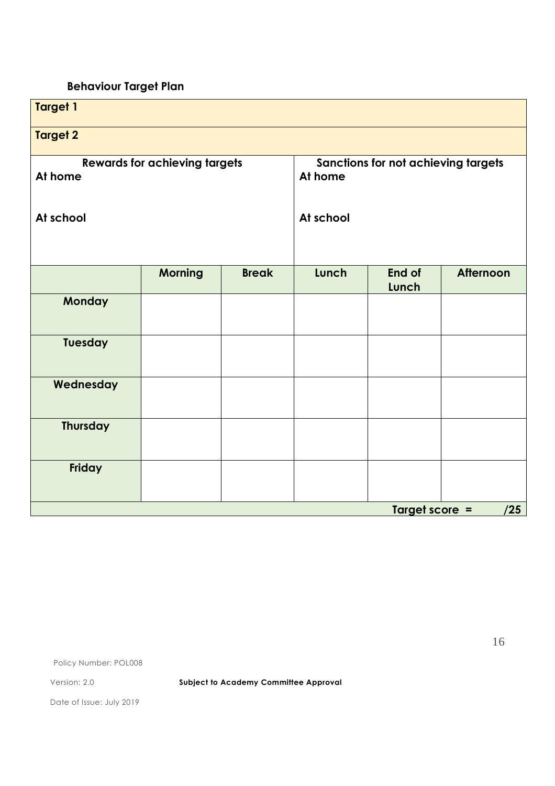# **Behaviour Target Plan**

| <b>Target 1</b>                                 |                |                                                |           |                 |           |
|-------------------------------------------------|----------------|------------------------------------------------|-----------|-----------------|-----------|
| <b>Target 2</b>                                 |                |                                                |           |                 |           |
| <b>Rewards for achieving targets</b><br>At home |                | Sanctions for not achieving targets<br>At home |           |                 |           |
| At school                                       |                |                                                | At school |                 |           |
|                                                 | <b>Morning</b> | <b>Break</b>                                   | Lunch     | End of<br>Lunch | Afternoon |
| Monday                                          |                |                                                |           |                 |           |
| <b>Tuesday</b>                                  |                |                                                |           |                 |           |
| Wednesday                                       |                |                                                |           |                 |           |
| <b>Thursday</b>                                 |                |                                                |           |                 |           |
| Friday                                          |                |                                                |           |                 |           |
| Target score =<br>/25                           |                |                                                |           |                 |           |

Policy Number: POL008

Version: 2.0 **Subject to Academy Committee Approval**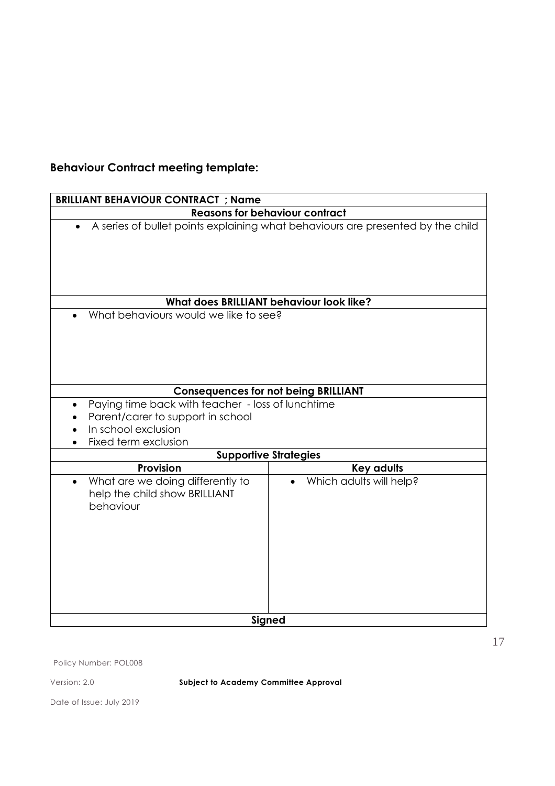# **Behaviour Contract meeting template:**

| <b>BRILLIANT BEHAVIOUR CONTRACT ; Name</b>                                                                                            |                                                                                 |  |
|---------------------------------------------------------------------------------------------------------------------------------------|---------------------------------------------------------------------------------|--|
| <b>Reasons for behaviour contract</b>                                                                                                 |                                                                                 |  |
|                                                                                                                                       | A series of bullet points explaining what behaviours are presented by the child |  |
|                                                                                                                                       | What does BRILLIANT behaviour look like?                                        |  |
| What behaviours would we like to see?                                                                                                 |                                                                                 |  |
|                                                                                                                                       | <b>Consequences for not being BRILLIANT</b>                                     |  |
| Paying time back with teacher - loss of lunchtime<br>Parent/carer to support in school<br>In school exclusion<br>Fixed term exclusion |                                                                                 |  |
|                                                                                                                                       | <b>Supportive Strategies</b>                                                    |  |
| <b>Provision</b>                                                                                                                      | <b>Key adults</b>                                                               |  |
| What are we doing differently to<br>$\bullet$<br>help the child show BRILLIANT<br>behaviour                                           | Which adults will help?                                                         |  |
|                                                                                                                                       | Signed                                                                          |  |

Policy Number: POL008

Version: 2.0 **Subject to Academy Committee Approval**

Date of Issue: July 2019

17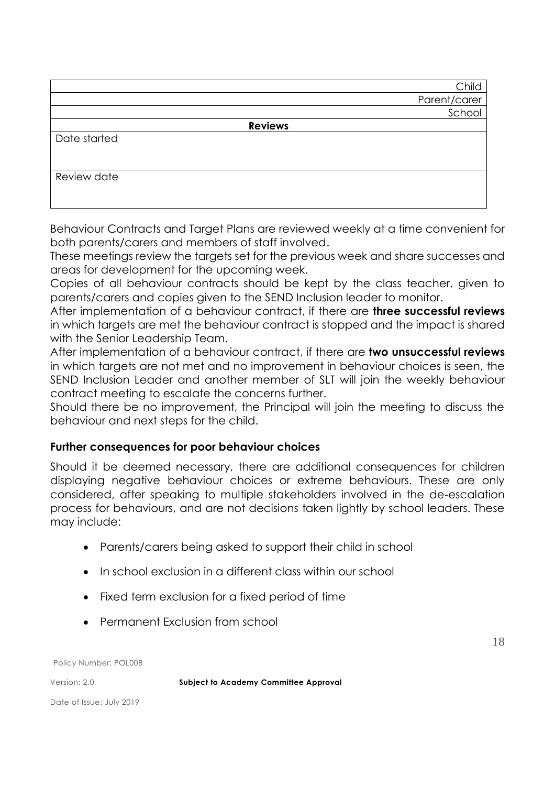|              | Child          |
|--------------|----------------|
|              | Parent/carer   |
|              | School         |
|              | <b>Reviews</b> |
| Date started |                |
|              |                |
|              |                |
| Review date  |                |
|              |                |
|              |                |

Behaviour Contracts and Target Plans are reviewed weekly at a time convenient for both parents/carers and members of staff involved.

These meetings review the targets set for the previous week and share successes and areas for development for the upcoming week.

Copies of all behaviour contracts should be kept by the class teacher, given to parents/carers and copies given to the SEND Inclusion leader to monitor.

After implementation of a behaviour contract, if there are **three successful reviews** in which targets are met the behaviour contract is stopped and the impact is shared with the Senior Leadership Team.

After implementation of a behaviour contract, if there are **two unsuccessful reviews** in which targets are not met and no improvement in behaviour choices is seen, the SEND Inclusion Leader and another member of SLT will join the weekly behaviour contract meeting to escalate the concerns further.

Should there be no improvement, the Principal will join the meeting to discuss the behaviour and next steps for the child.

# **Further consequences for poor behaviour choices**

Should it be deemed necessary, there are additional consequences for children displaying negative behaviour choices or extreme behaviours. These are only considered, after speaking to multiple stakeholders involved in the de-escalation process for behaviours, and are not decisions taken lightly by school leaders. These may include:

- Parents/carers being asked to support their child in school
- In school exclusion in a different class within our school
- Fixed term exclusion for a fixed period of time
- Permanent Exclusion from school

Policy Number: POL008

Version: 2.0 **Subject to Academy Committee Approval**

18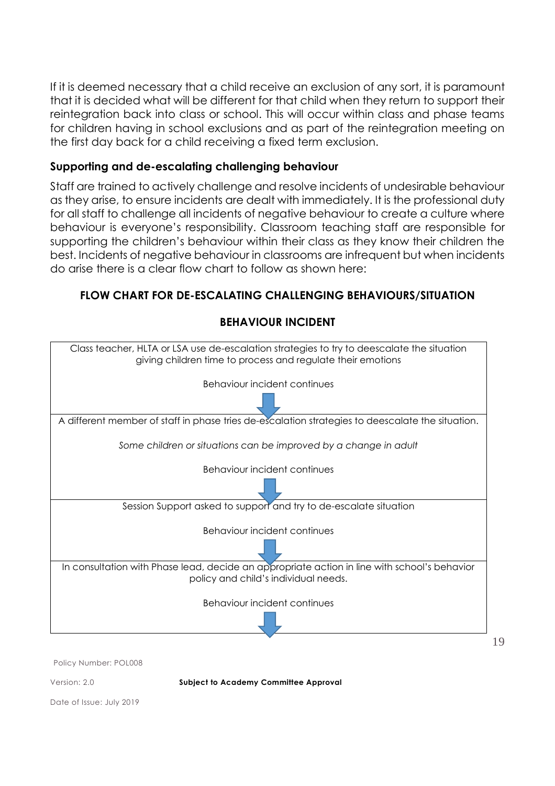If it is deemed necessary that a child receive an exclusion of any sort, it is paramount that it is decided what will be different for that child when they return to support their reintegration back into class or school. This will occur within class and phase teams for children having in school exclusions and as part of the reintegration meeting on the first day back for a child receiving a fixed term exclusion.

## **Supporting and de-escalating challenging behaviour**

Staff are trained to actively challenge and resolve incidents of undesirable behaviour as they arise, to ensure incidents are dealt with immediately. It is the professional duty for all staff to challenge all incidents of negative behaviour to create a culture where behaviour is everyone's responsibility. Classroom teaching staff are responsible for supporting the children's behaviour within their class as they know their children the best. Incidents of negative behaviour in classrooms are infrequent but when incidents do arise there is a clear flow chart to follow as shown here:

# **FLOW CHART FOR DE-ESCALATING CHALLENGING BEHAVIOURS/SITUATION**



**BEHAVIOUR INCIDENT** 

Policy Number: POL008

Version: 2.0 **Subject to Academy Committee Approval**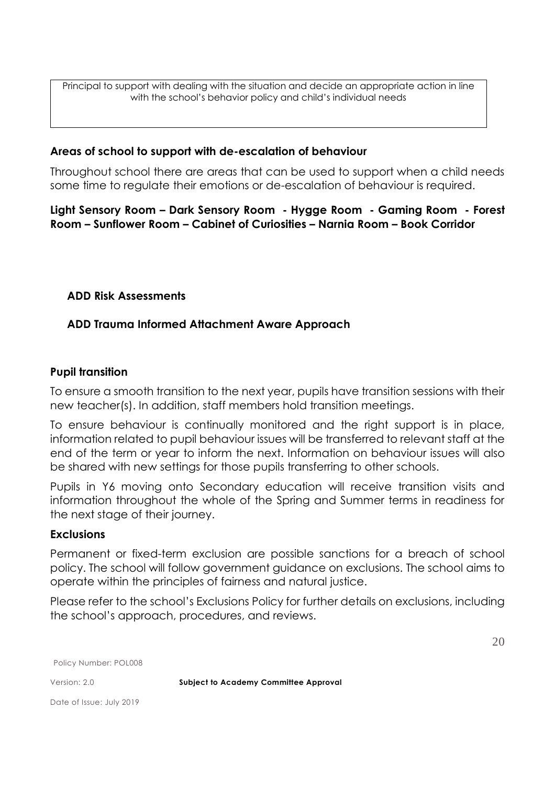Principal to support with dealing with the situation and decide an appropriate action in line with the school's behavior policy and child's individual needs

#### **Areas of school to support with de-escalation of behaviour**

Throughout school there are areas that can be used to support when a child needs some time to regulate their emotions or de-escalation of behaviour is required.

**Light Sensory Room – Dark Sensory Room - Hygge Room - Gaming Room - Forest Room – Sunflower Room – Cabinet of Curiosities – Narnia Room – Book Corridor** 

#### **ADD Risk Assessments**

#### **ADD Trauma Informed Attachment Aware Approach**

#### **Pupil transition**

To ensure a smooth transition to the next year, pupils have transition sessions with their new teacher(s). In addition, staff members hold transition meetings.

To ensure behaviour is continually monitored and the right support is in place, information related to pupil behaviour issues will be transferred to relevant staff at the end of the term or year to inform the next. Information on behaviour issues will also be shared with new settings for those pupils transferring to other schools.

Pupils in Y6 moving onto Secondary education will receive transition visits and information throughout the whole of the Spring and Summer terms in readiness for the next stage of their journey.

#### **Exclusions**

Permanent or fixed-term exclusion are possible sanctions for a breach of school policy. The school will follow government guidance on exclusions. The school aims to operate within the principles of fairness and natural justice.

Please refer to the school's Exclusions Policy for further details on exclusions, including the school's approach, procedures, and reviews.

20

Policy Number: POL008

Version: 2.0 **Subject to Academy Committee Approval**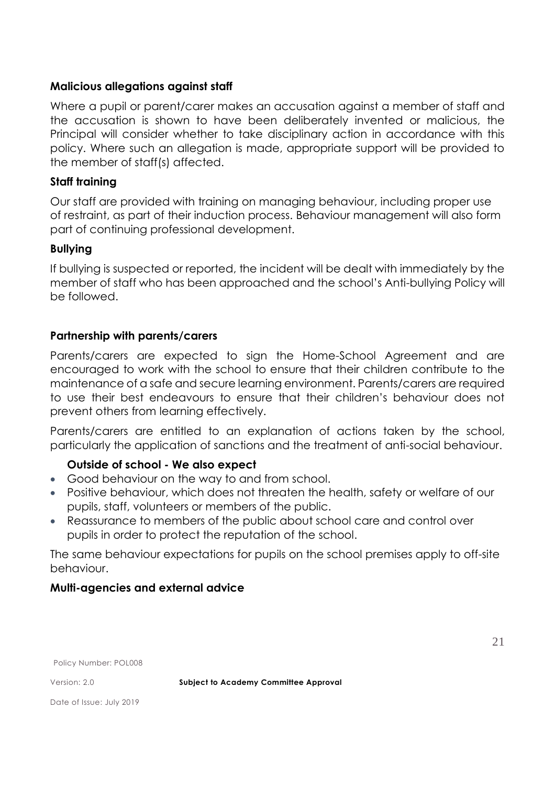## **Malicious allegations against staff**

Where a pupil or parent/carer makes an accusation against a member of staff and the accusation is shown to have been deliberately invented or malicious, the Principal will consider whether to take disciplinary action in accordance with this policy. Where such an allegation is made, appropriate support will be provided to the member of staff(s) affected.

## **Staff training**

Our staff are provided with training on managing behaviour, including proper use of restraint, as part of their induction process. Behaviour management will also form part of continuing professional development.

## **Bullying**

If bullying is suspected or reported, the incident will be dealt with immediately by the member of staff who has been approached and the school's Anti-bullying Policy will be followed.

## **Partnership with parents/carers**

Parents/carers are expected to sign the Home-School Agreement and are encouraged to work with the school to ensure that their children contribute to the maintenance of a safe and secure learning environment. Parents/carers are required to use their best endeavours to ensure that their children's behaviour does not prevent others from learning effectively.

Parents/carers are entitled to an explanation of actions taken by the school, particularly the application of sanctions and the treatment of anti-social behaviour.

## **Outside of school - We also expect**

- Good behaviour on the way to and from school.
- Positive behaviour, which does not threaten the health, safety or welfare of our pupils, staff, volunteers or members of the public.
- Reassurance to members of the public about school care and control over pupils in order to protect the reputation of the school.

The same behaviour expectations for pupils on the school premises apply to off-site behaviour.

## **Multi-agencies and external advice**

Policy Number: POL008

Version: 2.0 **Subject to Academy Committee Approval**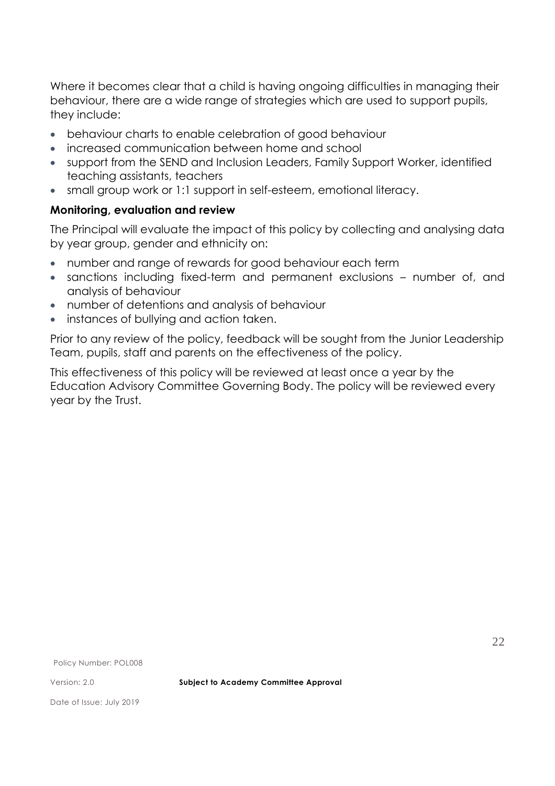Where it becomes clear that a child is having ongoing difficulties in managing their behaviour, there are a wide range of strategies which are used to support pupils, they include:

- behaviour charts to enable celebration of good behaviour
- increased communication between home and school
- support from the SEND and Inclusion Leaders, Family Support Worker, identified teaching assistants, teachers
- small group work or 1:1 support in self-esteem, emotional literacy.

## **Monitoring, evaluation and review**

The Principal will evaluate the impact of this policy by collecting and analysing data by year group, gender and ethnicity on:

- number and range of rewards for good behaviour each term
- sanctions including fixed-term and permanent exclusions number of, and analysis of behaviour
- number of detentions and analysis of behaviour
- instances of bullying and action taken.

Prior to any review of the policy, feedback will be sought from the Junior Leadership Team, pupils, staff and parents on the effectiveness of the policy.

This effectiveness of this policy will be reviewed at least once a year by the Education Advisory Committee Governing Body. The policy will be reviewed every year by the Trust.

Policy Number: POL008

Version: 2.0 **Subject to Academy Committee Approval**